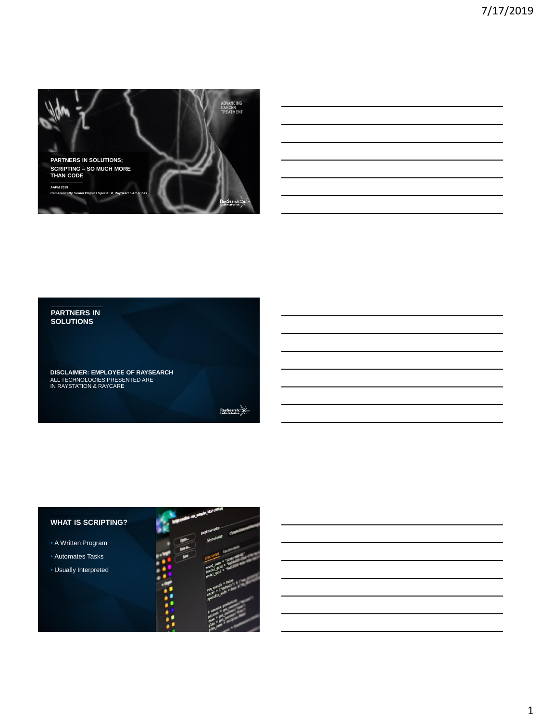

### **PARTNERS IN SOLUTIONS**

**DISCLAIMER: EMPLOYEE OF RAYSEARCH** ALL TECHNOLOGIES PRESENTED ARE IN RAYSTATION & RAYCARE

 $RaySearch$ 

## **WHAT IS SCRIPTING?**

- A Written Program
- Automates Tasks
- Usually Interpreted

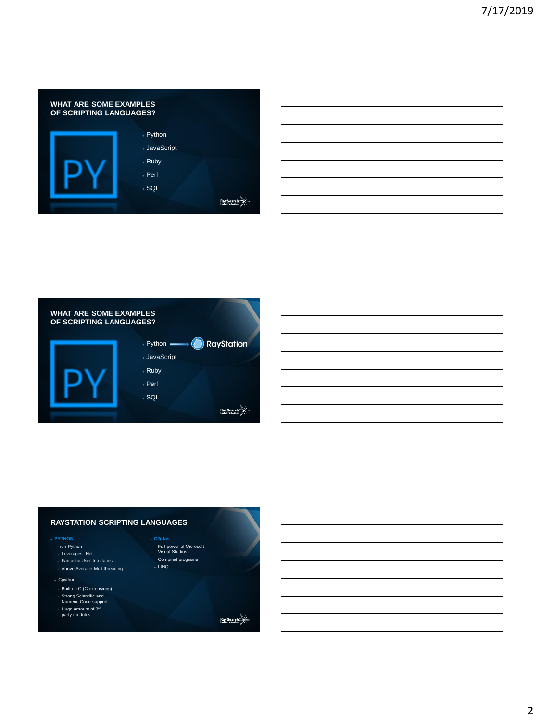| <b>WHAT ARE SOME EXAMPLES</b><br>OF SCRIPTING LANGUAGES? |            |  |
|----------------------------------------------------------|------------|--|
|                                                          | • Python   |  |
|                                                          | JavaScript |  |
|                                                          | • Ruby     |  |
|                                                          | $.$ Perl   |  |
|                                                          | .SQL       |  |
|                                                          |            |  |

| <b>WHAT ARE SOME EXAMPLES</b><br>OF SCRIPTING LANGUAGES? |                                             |
|----------------------------------------------------------|---------------------------------------------|
|                                                          | <b>RayStation</b><br>$\cdot$ Python $\cdot$ |
|                                                          | • JavaScript                                |
|                                                          | • Ruby                                      |
|                                                          | . Perl                                      |
|                                                          | .SQL                                        |
|                                                          | RaySea<br>Laborato                          |

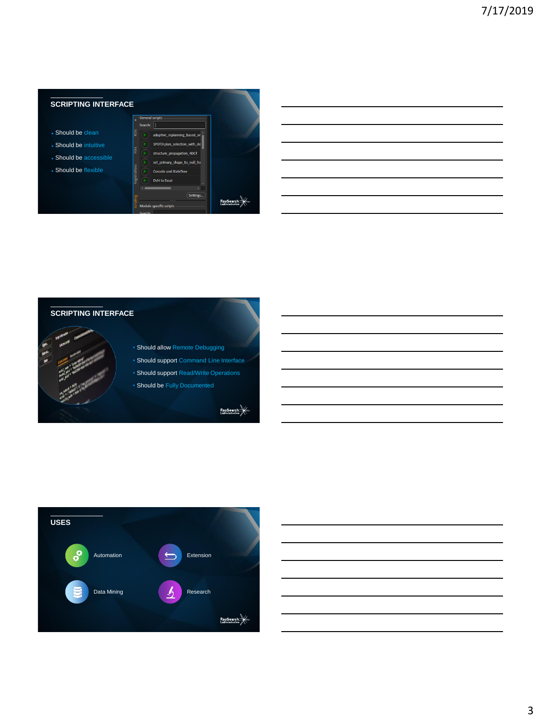





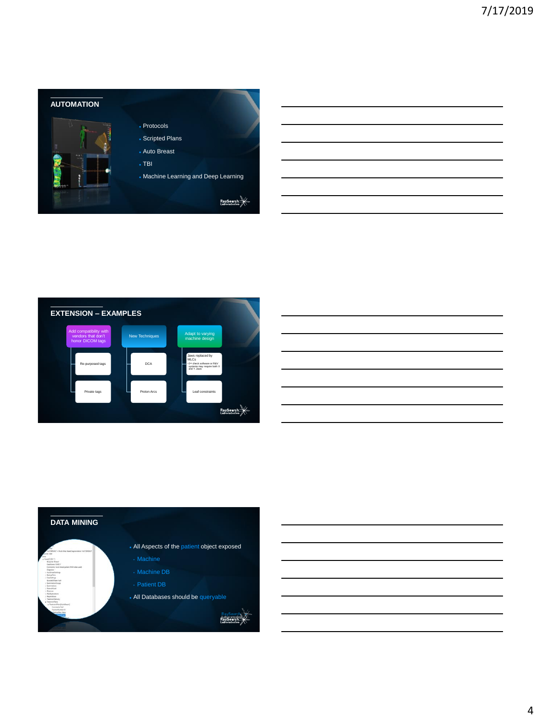